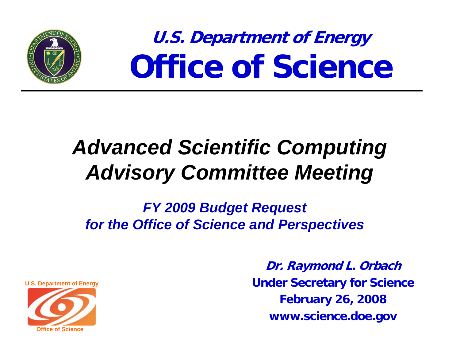

**U.S. Department of Energy Office of Science**

# *Advanced Scientific Computing Advisory Committee Meeting*

*FY 2009 Budget Request for the Office of Science and Perspectives*

**U.S. Department of Energy**

**Office of Science** 

**Dr. Raymond L. Orbach Under Secretary for Science February 26, 2008 www.science.doe.gov**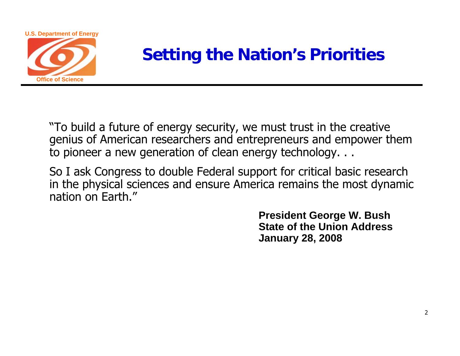

### **Setting the Nation's Priorities**

"To build a future of energy security, we must trust in the creative genius of American researchers and entrepreneurs and empower them to pioneer a new generation of clean energy technology. . .

So I ask Congress to double Federal support for critical basic research in the physical sciences and ensure America remains the most dynamic nation on Earth."

> **President George W. Bush State of the Union Address January 28, 2008**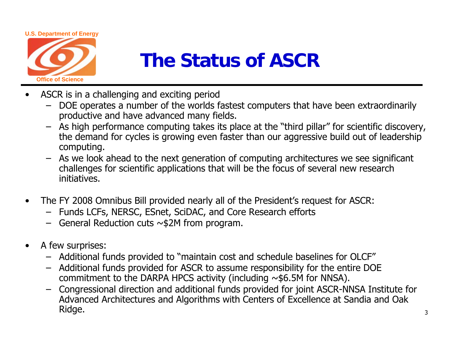

## **The Status of ASCR**

- • ASCR is in a challenging and exciting period
	- DOE operates a number of the worlds fastest computers that have been extraordinarily productive and have advanced many fields.
	- As high performance computing takes its place at the "third pillar" for scientific discovery, the demand for cycles is growing even faster than our aggressive build out of leadership computing.
	- As we look ahead to the next generation of computing architectures we see significant challenges for scientific applications that will be the focus of several new research initiatives.
- $\bullet$  The FY 2008 Omnibus Bill provided nearly all of the President's request for ASCR:
	- Funds LCFs, NERSC, ESnet, SciDAC, and Core Research efforts
	- General Reduction cuts ~\$2M from program.
- $\bullet$  A few surprises:
	- Additional funds provided to "maintain cost and schedule baselines for OLCF"
	- Additional funds provided for ASCR to assume responsibility for the entire DOE commitment to the DARPA HPCS activity (including  $\sim$ \$6.5M for NNSA).
	- Congressional direction and additional funds provided for joint ASCR-NNSA Institute for Advanced Architectures and Algorithms with Centers of Excellence at Sandia and Oak Ridge.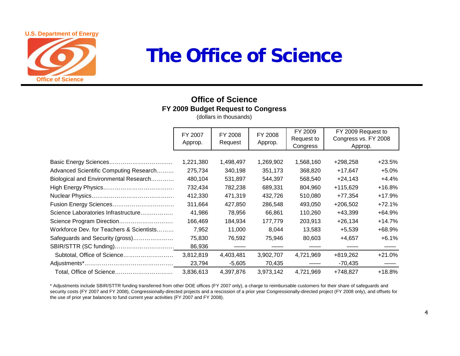#### **U.S. Department of Energy**



### **The Office of Science**

### **Office of ScienceFY 2009 Budget Request to Congress**

(dollars in thousands)

|                                          | FY 2007<br>Approp. | FY 2008<br>Request | FY 2008<br>Approp. | FY 2009<br>Request to<br>Congress | FY 2009 Request to<br>Congress vs. FY 2008<br>Approp. |          |
|------------------------------------------|--------------------|--------------------|--------------------|-----------------------------------|-------------------------------------------------------|----------|
|                                          |                    |                    |                    |                                   |                                                       |          |
|                                          | 1,221,380          | 1,498,497          | 1,269,902          | 1,568,160                         | $+298,258$                                            | $+23.5%$ |
| Advanced Scientific Computing Research   | 275,734            | 340,198            | 351,173            | 368,820                           | $+17,647$                                             | $+5.0%$  |
| Biological and Environmental Research    | 480,104            | 531,897            | 544,397            | 568,540                           | $+24,143$                                             | $+4.4%$  |
|                                          | 732,434            | 782,238            | 689,331            | 804,960                           | $+115,629$                                            | +16.8%   |
|                                          | 412,330            | 471,319            | 432,726            | 510,080                           | $+77,354$                                             | $+17.9%$ |
|                                          | 311,664            | 427,850            | 286,548            | 493,050                           | $+206,502$                                            | $+72.1%$ |
| Science Laboratories Infrastructure      | 41,986             | 78,956             | 66,861             | 110,260                           | $+43,399$                                             | +64.9%   |
| Science Program Direction                | 166,469            | 184,934            | 177,779            | 203,913                           | $+26,134$                                             | $+14.7%$ |
| Workforce Dev. for Teachers & Scientists | 7,952              | 11,000             | 8,044              | 13,583                            | $+5,539$                                              | +68.9%   |
| Safeguards and Security (gross)          | 75,830             | 76,592             | 75,946             | 80,603                            | $+4,657$                                              | $+6.1%$  |
|                                          | 86,936             |                    |                    |                                   |                                                       |          |
| Subtotal, Office of Science              | 3,812,819          | 4,403,481          | 3,902,707          | 4,721,969                         | +819,262                                              | $+21.0%$ |
|                                          | 23,794             | $-5,605$           | 70,435             |                                   | -70,435                                               |          |
| Total, Office of Science                 | 3,836,613          | 4,397,876          | 3,973,142          | 4,721,969                         | +748,827                                              | +18.8%   |

\* Adjustments include SBIR/STTR funding transferred from other DOE offices (FY 2007 only), a charge to reimbursable customers for their share of safeguards and security costs (FY 2007 and FY 2008), Congressionally-directed projects and a rescission of a prior year Congressionally-directed project (FY 2008 only), and offsets for the use of prior year balances to fund current year activities (FY 2007 and FY 2008).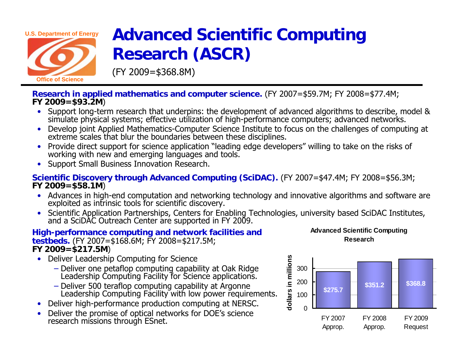

**Office of Science** 

### **Advanced Scientific Computing Research (ASCR)**

(FY 2009=\$368.8M)

**Research in applied mathematics and computer science.** (FY 2007=\$59.7M; FY 2008=\$77.4M; **FY 2009=\$93.2M**)

- Support long-term research that underpins: the development of advanced algorithms to describe, model & simulate physical systems; effective utilization of high-performance computers; advanced networks.
- Develop joint Applied Mathematics-Computer Science Institute to focus on the challenges of computing at extreme scales that blur the boundaries between these disciplines.
- Provide direct support for science application "leading edge developers" willing to take on the risks of working with new and emerging languages and tools.
- Support Small Business Innovation Research.

**Scientific Discovery through Advanced Computing (SciDAC).** (FY 2007=\$47.4M; FY 2008=\$56.3M; **FY 2009=\$58.1M**)

- Advances in high-end computation and networking technology and innovative algorithms and software are exploited as intrinsic tools for scientific discovery.
- Scientific Application Partnerships, Centers for Enabling Technologies, university based SciDAC Institutes, and a SciDAC Outreach Center are supported in FY 2009.

### **High-performance computing and network facilities and testbeds.** (FY 2007=\$168.6M; FY 2008=\$217.5M; **FY 2009=\$217.5M**)

- Deliver Leadership Computing for Science
	- − Deliver one petaflop computing capability at Oak Ridge Leadership Computing Facility for Science applications.
	- Deliver 500 teraflop computing capability at Argonne Leadership Computing Facility with low power requirements.
- Deliver high-performance production computing at NERSC.
- •Deliver the promise of optical networks for DOE's science research missions through ESnet.



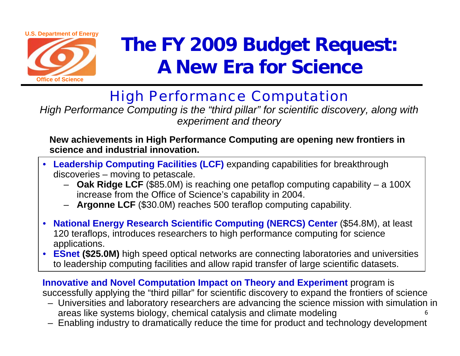

# **The FY 2009 Budget Request: A New Era for Science**

### High Performance Computation

*High Performance Computing is the "third pillar" for scientific discovery, along with experiment and theory*

### **New achievements in High Performance Computing are opening new frontiers in science and industrial innovation.**

- • **Leadership Computing Facilities (LCF)** expanding capabilities for breakthrough discoveries – moving to petascale.
	- **Oak Ridge LCF** (\$85.0M) is reaching one petaflop computing capability a 100X increase from the Office of Science's capability in 2004.
	- **Argonne LCF** (\$30.0M) reaches 500 teraflop computing capability.
- **National Energy Research Scientific Computing (NERCS) Center** (\$54.8M), at least 120 teraflops, introduces researchers to high performance computing for science applications.
- **ESnet (\$25.0M)** high speed optical networks are connecting laboratories and universities to leadership computing facilities and allow rapid transfer of large scientific datasets.

**Innovative and Novel Computation Impact on Theory and Experiment** program is successfully applying the "third pillar" for scientific discovery to expand the frontiers of science

- 6– Universities and laboratory researchers are advancing the science mission with simulation in areas like systems biology, chemical catalysis and climate modeling
- Enabling industry to dramatically reduce the time for product and technology development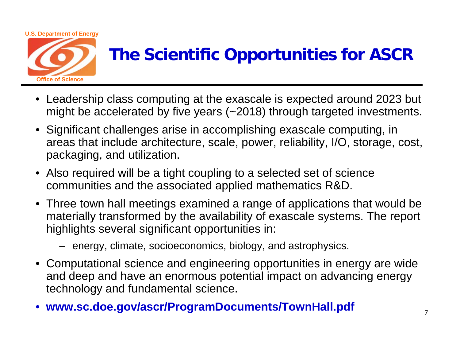

### **The Scientific Opportunities for ASCR**

- Leadership class computing at the exascale is expected around 2023 but might be accelerated by five years (~2018) through targeted investments.
- Significant challenges arise in accomplishing exascale computing, in areas that include architecture, scale, power, reliability, I/O, storage, cost, packaging, and utilization.
- Also required will be a tight coupling to a selected set of science communities and the associated applied mathematics R&D.
- Three town hall meetings examined a range of applications that would be materially transformed by the availability of exascale systems. The report highlights several significant opportunities in:
	- energy, climate, socioeconomics, biology, and astrophysics.
- Computational science and engineering opportunities in energy are wide and deep and have an enormous potential impact on advancing energy technology and fundamental science.
- **www.sc.doe.gov/ascr/ProgramDocuments/TownHall.pdf**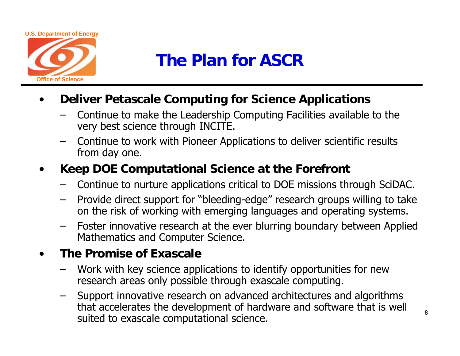

### **The Plan for ASCR**

- • **Deliver Petascale Computing for Science Applications** 
	- Continue to make the Leadership Computing Facilities available to the very best science through INCITE.
	- Continue to work with Pioneer Applications to deliver scientific results from day one.
- • **Keep DOE Computational Science at the Forefront** 
	- Continue to nurture applications critical to DOE missions through SciDAC.
	- Provide direct support for "bleeding-edge" research groups willing to take on the risk of working with emerging languages and operating systems.
	- Foster innovative research at the ever blurring boundary between Applied Mathematics and Computer Science.

#### •**The Promise of Exascale**

- Work with key science applications to identify opportunities for new research areas only possible through exascale computing.
- Support innovative research on advanced architectures and algorithms that accelerates the development of hardware and software that is well suited to exascale computational science.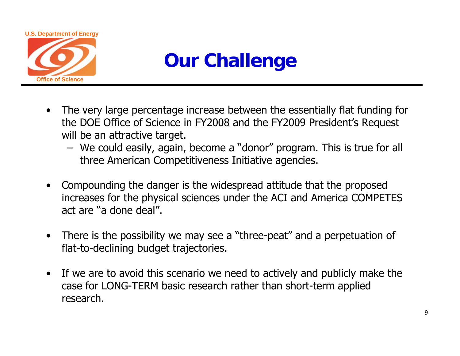

## **Our Challenge**

- The very large percentage increase between the essentially flat funding for the DOE Office of Science in FY2008 and the FY2009 President's Request will be an attractive target.
	- We could easily, again, become a "donor" program. This is true for all three American Competitiveness Initiative agencies.
- $\bullet$  Compounding the danger is the widespread attitude that the proposed increases for the physical sciences under the ACI and America COMPETES act are "a done deal".
- There is the possibility we may see a "three-peat" and a perpetuation of flat-to-declining budget trajectories.
- If we are to avoid this scenario we need to actively and publicly make the case for LONG-TERM basic research rather than short-term applied research.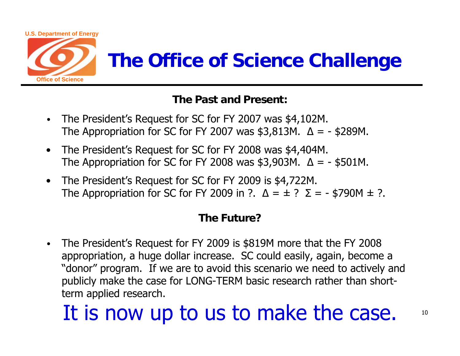

## **The Office of Science Challenge**

### **The Past and Present:**

- **•** The President's Request for SC for FY 2007 was \$4,102M. The Appropriation for SC for FY 2007 was \$3,813M.  $\Delta$  = - \$289M.
- $\bullet$  The President's Request for SC for FY 2008 was \$4,404M. The Appropriation for SC for FY 2008 was \$3,903M.  $\Delta = -$  \$501M.
- $\bullet$  The President's Request for SC for FY 2009 is \$4,722M. The Appropriation for SC for FY 2009 in ?.  $\Delta = \pm$  ?  $\Sigma = -$  \$790M  $\pm$  ?.

### **The Future?**

**•** The President's Request for FY 2009 is \$819M more that the FY 2008 appropriation, a huge dollar increase. SC could easily, again, become a "donor" program. If we are to avoid this scenario we need to actively and publicly make the case for LONG-TERM basic research rather than shortterm applied research.

# It is now up to us to make the case.